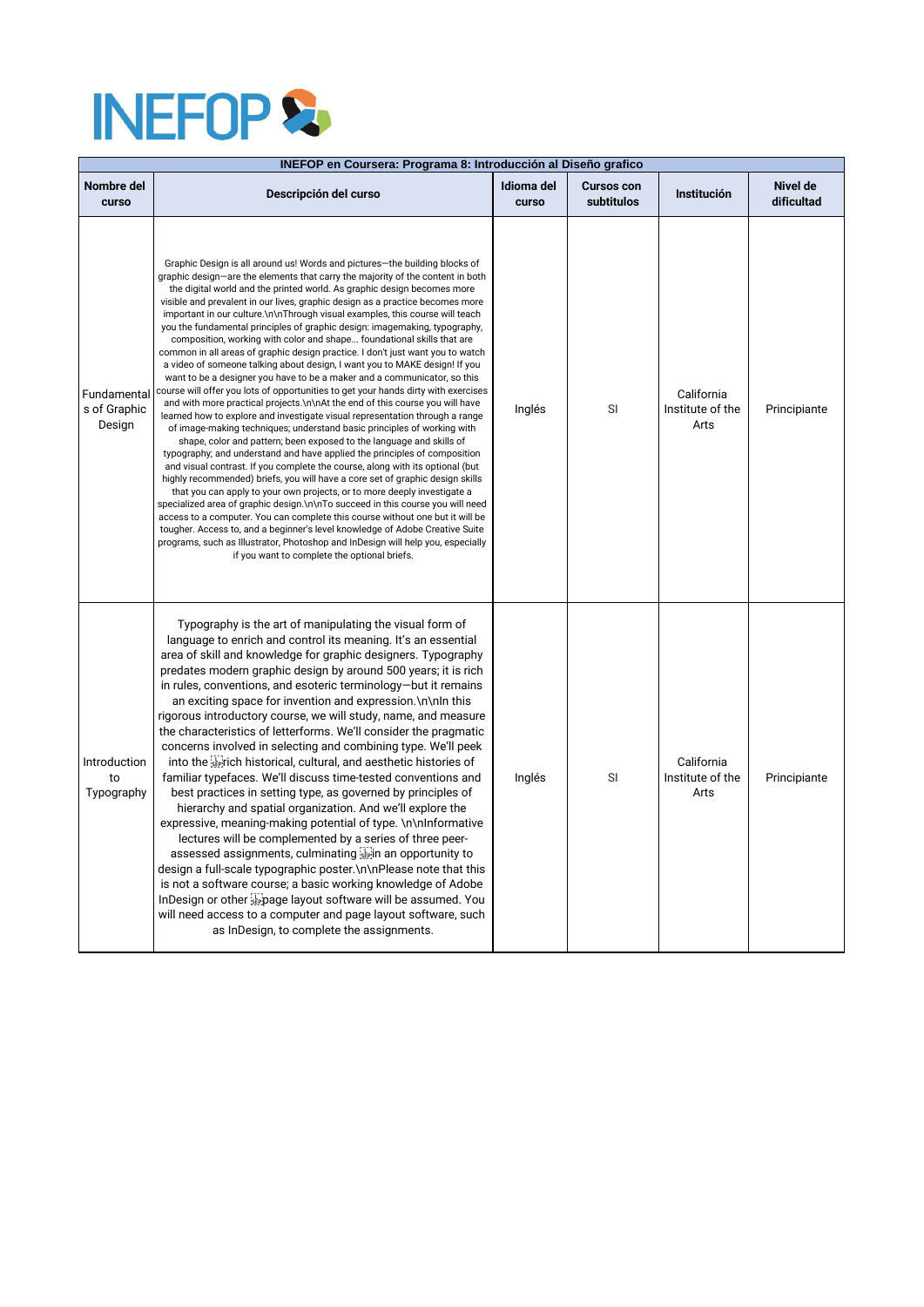## **INEFOP &**

| INEFOP en Coursera: Programa 8: Introducción al Diseño grafico |                                                                                                                                                                                                                                                                                                                                                                                                                                                                                                                                                                                                                                                                                                                                                                                                                                                                                                                                                                                                                                                                                                                                                                                                                                                                                                                                                                                                                                                                                                                                                                                                                                                                                                                                                                                                                                                                                                                                         |                     |                                 |                                        |                               |  |  |
|----------------------------------------------------------------|-----------------------------------------------------------------------------------------------------------------------------------------------------------------------------------------------------------------------------------------------------------------------------------------------------------------------------------------------------------------------------------------------------------------------------------------------------------------------------------------------------------------------------------------------------------------------------------------------------------------------------------------------------------------------------------------------------------------------------------------------------------------------------------------------------------------------------------------------------------------------------------------------------------------------------------------------------------------------------------------------------------------------------------------------------------------------------------------------------------------------------------------------------------------------------------------------------------------------------------------------------------------------------------------------------------------------------------------------------------------------------------------------------------------------------------------------------------------------------------------------------------------------------------------------------------------------------------------------------------------------------------------------------------------------------------------------------------------------------------------------------------------------------------------------------------------------------------------------------------------------------------------------------------------------------------------|---------------------|---------------------------------|----------------------------------------|-------------------------------|--|--|
| Nombre del<br>curso                                            | Descripción del curso                                                                                                                                                                                                                                                                                                                                                                                                                                                                                                                                                                                                                                                                                                                                                                                                                                                                                                                                                                                                                                                                                                                                                                                                                                                                                                                                                                                                                                                                                                                                                                                                                                                                                                                                                                                                                                                                                                                   | Idioma del<br>curso | <b>Cursos con</b><br>subtitulos | Institución                            | <b>Nivel de</b><br>dificultad |  |  |
| Fundamental<br>s of Graphic<br>Design                          | Graphic Design is all around us! Words and pictures-the building blocks of<br>graphic design-are the elements that carry the majority of the content in both<br>the digital world and the printed world. As graphic design becomes more<br>visible and prevalent in our lives, graphic design as a practice becomes more<br>important in our culture.\n\nThrough visual examples, this course will teach<br>you the fundamental principles of graphic design: imagemaking, typography,<br>composition, working with color and shape foundational skills that are<br>common in all areas of graphic design practice. I don't just want you to watch<br>a video of someone talking about design, I want you to MAKE design! If you<br>want to be a designer you have to be a maker and a communicator, so this<br>course will offer you lots of opportunities to get your hands dirty with exercises<br>and with more practical projects. \n\nAt the end of this course you will have<br>learned how to explore and investigate visual representation through a range<br>of image-making techniques; understand basic principles of working with<br>shape, color and pattern; been exposed to the language and skills of<br>typography; and understand and have applied the principles of composition<br>and visual contrast. If you complete the course, along with its optional (but<br>highly recommended) briefs, you will have a core set of graphic design skills<br>that you can apply to your own projects, or to more deeply investigate a<br>specialized area of graphic design.\n\nTo succeed in this course you will need<br>access to a computer. You can complete this course without one but it will be<br>tougher. Access to, and a beginner's level knowledge of Adobe Creative Suite<br>programs, such as Illustrator, Photoshop and InDesign will help you, especially<br>if you want to complete the optional briefs. | Inglés              | SI                              | California<br>Institute of the<br>Arts | Principiante                  |  |  |
| Introduction<br>to<br>Typography                               | Typography is the art of manipulating the visual form of<br>language to enrich and control its meaning. It's an essential<br>area of skill and knowledge for graphic designers. Typography<br>predates modern graphic design by around 500 years; it is rich<br>in rules, conventions, and esoteric terminology-but it remains<br>an exciting space for invention and expression. \n\nln this<br>rigorous introductory course, we will study, name, and measure<br>the characteristics of letterforms. We'll consider the pragmatic<br>concerns involved in selecting and combining type. We'll peek<br>into the sterich historical, cultural, and aesthetic histories of<br>familiar typefaces. We'll discuss time-tested conventions and<br>best practices in setting type, as governed by principles of<br>hierarchy and spatial organization. And we'll explore the<br>expressive, meaning-making potential of type. \n\nInformative<br>lectures will be complemented by a series of three peer-<br>assessed assignments, culminating Fight an opportunity to<br>design a full-scale typographic poster. \n\nPlease note that this<br>is not a software course; a basic working knowledge of Adobe<br>InDesign or other Epage layout software will be assumed. You<br>will need access to a computer and page layout software, such<br>as InDesign, to complete the assignments.                                                                                                                                                                                                                                                                                                                                                                                                                                                                                                                                                    | Inglés              | SI                              | California<br>Institute of the<br>Arts | Principiante                  |  |  |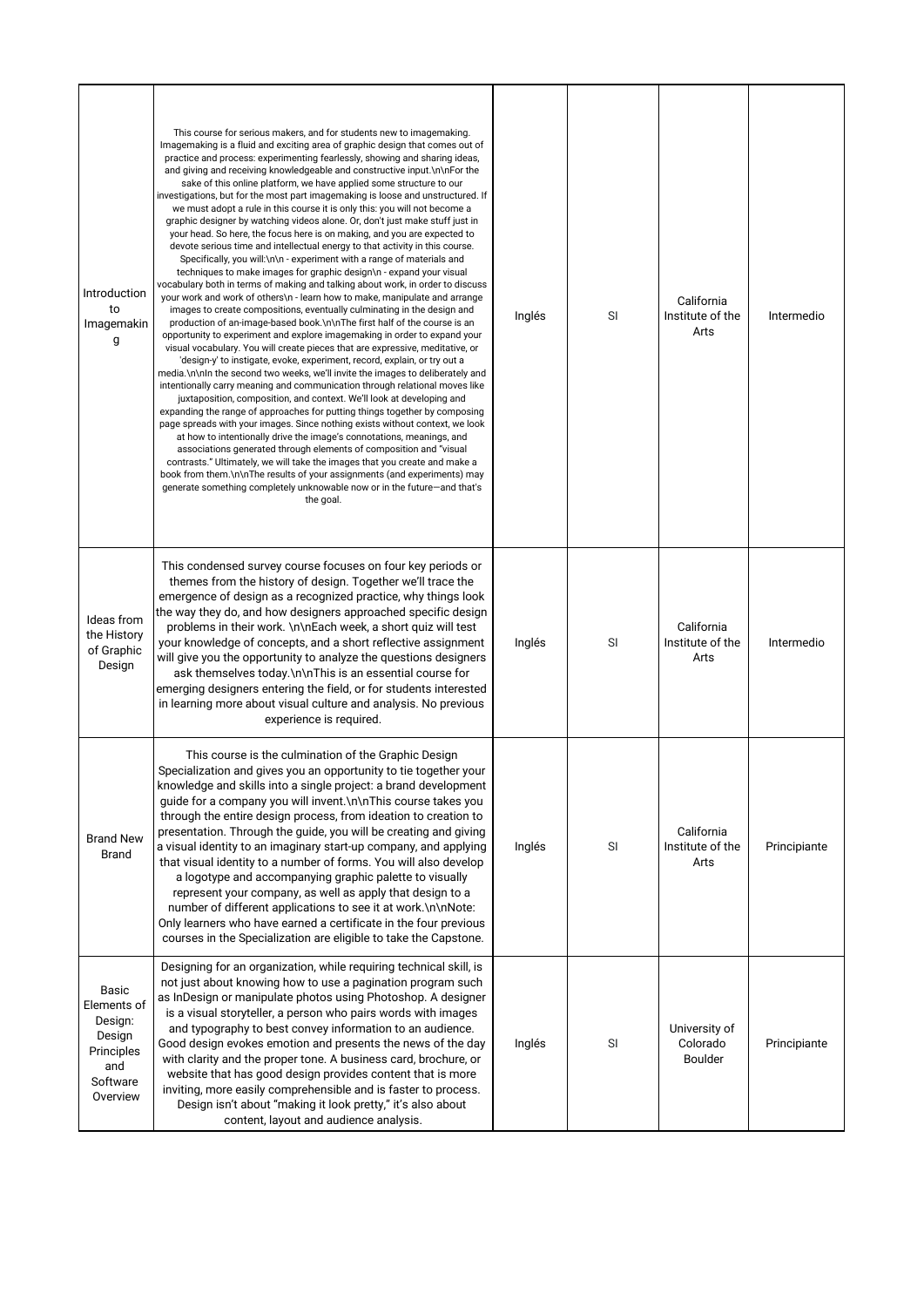| Introduction<br>to<br>Imagemakin<br>g                                                  | This course for serious makers, and for students new to imagemaking.<br>Imagemaking is a fluid and exciting area of graphic design that comes out of<br>practice and process: experimenting fearlessly, showing and sharing ideas,<br>and giving and receiving knowledgeable and constructive input.\n\nFor the<br>sake of this online platform, we have applied some structure to our<br>investigations, but for the most part imagemaking is loose and unstructured. If<br>we must adopt a rule in this course it is only this: you will not become a<br>graphic designer by watching videos alone. Or, don't just make stuff just in<br>your head. So here, the focus here is on making, and you are expected to<br>devote serious time and intellectual energy to that activity in this course.<br>Specifically, you will:\n\n - experiment with a range of materials and<br>techniques to make images for graphic design\n - expand your visual<br>vocabulary both in terms of making and talking about work, in order to discuss<br>your work and work of others\n - learn how to make, manipulate and arrange<br>images to create compositions, eventually culminating in the design and<br>production of an-image-based book.\n\nThe first half of the course is an<br>opportunity to experiment and explore imagemaking in order to expand your<br>visual vocabulary. You will create pieces that are expressive, meditative, or<br>'design-y' to instigate, evoke, experiment, record, explain, or try out a<br>media.\n\nln the second two weeks, we'll invite the images to deliberately and<br>intentionally carry meaning and communication through relational moves like<br>juxtaposition, composition, and context. We'll look at developing and<br>expanding the range of approaches for putting things together by composing<br>page spreads with your images. Since nothing exists without context, we look<br>at how to intentionally drive the image's connotations, meanings, and<br>associations generated through elements of composition and "visual<br>contrasts." Ultimately, we will take the images that you create and make a<br>book from them.\n\nThe results of your assignments (and experiments) may<br>generate something completely unknowable now or in the future-and that's<br>the goal. | Inglés | SI | California<br>Institute of the<br>Arts      | Intermedio   |
|----------------------------------------------------------------------------------------|----------------------------------------------------------------------------------------------------------------------------------------------------------------------------------------------------------------------------------------------------------------------------------------------------------------------------------------------------------------------------------------------------------------------------------------------------------------------------------------------------------------------------------------------------------------------------------------------------------------------------------------------------------------------------------------------------------------------------------------------------------------------------------------------------------------------------------------------------------------------------------------------------------------------------------------------------------------------------------------------------------------------------------------------------------------------------------------------------------------------------------------------------------------------------------------------------------------------------------------------------------------------------------------------------------------------------------------------------------------------------------------------------------------------------------------------------------------------------------------------------------------------------------------------------------------------------------------------------------------------------------------------------------------------------------------------------------------------------------------------------------------------------------------------------------------------------------------------------------------------------------------------------------------------------------------------------------------------------------------------------------------------------------------------------------------------------------------------------------------------------------------------------------------------------------------------------------------------------------------------------------------------------------------------------------------------------------|--------|----|---------------------------------------------|--------------|
| Ideas from<br>the History<br>of Graphic<br>Design                                      | This condensed survey course focuses on four key periods or<br>themes from the history of design. Together we'll trace the<br>emergence of design as a recognized practice, why things look<br>the way they do, and how designers approached specific design<br>problems in their work. \n\nEach week, a short quiz will test<br>your knowledge of concepts, and a short reflective assignment<br>will give you the opportunity to analyze the questions designers<br>ask themselves today.\n\nThis is an essential course for<br>emerging designers entering the field, or for students interested<br>in learning more about visual culture and analysis. No previous<br>experience is required.                                                                                                                                                                                                                                                                                                                                                                                                                                                                                                                                                                                                                                                                                                                                                                                                                                                                                                                                                                                                                                                                                                                                                                                                                                                                                                                                                                                                                                                                                                                                                                                                                                | Inglés | SI | California<br>Institute of the<br>Arts      | Intermedio   |
| <b>Brand New</b><br><b>Brand</b>                                                       | This course is the culmination of the Graphic Design<br>Specialization and gives you an opportunity to tie together your<br>knowledge and skills into a single project: a brand development<br>guide for a company you will invent. \n\nThis course takes you<br>through the entire design process, from ideation to creation to<br>presentation. Through the guide, you will be creating and giving<br>a visual identity to an imaginary start-up company, and applying<br>that visual identity to a number of forms. You will also develop<br>a logotype and accompanying graphic palette to visually<br>represent your company, as well as apply that design to a<br>number of different applications to see it at work.\n\nNote:<br>Only learners who have earned a certificate in the four previous<br>courses in the Specialization are eligible to take the Capstone.                                                                                                                                                                                                                                                                                                                                                                                                                                                                                                                                                                                                                                                                                                                                                                                                                                                                                                                                                                                                                                                                                                                                                                                                                                                                                                                                                                                                                                                     | Inglés | SI | California<br>Institute of the<br>Arts      | Principiante |
| Basic<br>Elements of<br>Design:<br>Design<br>Principles<br>and<br>Software<br>Overview | Designing for an organization, while requiring technical skill, is<br>not just about knowing how to use a pagination program such<br>as InDesign or manipulate photos using Photoshop. A designer<br>is a visual storyteller, a person who pairs words with images<br>and typography to best convey information to an audience.<br>Good design evokes emotion and presents the news of the day<br>with clarity and the proper tone. A business card, brochure, or<br>website that has good design provides content that is more<br>inviting, more easily comprehensible and is faster to process.<br>Design isn't about "making it look pretty," it's also about<br>content, layout and audience analysis.                                                                                                                                                                                                                                                                                                                                                                                                                                                                                                                                                                                                                                                                                                                                                                                                                                                                                                                                                                                                                                                                                                                                                                                                                                                                                                                                                                                                                                                                                                                                                                                                                       | Inglés | SI | University of<br>Colorado<br><b>Boulder</b> | Principiante |